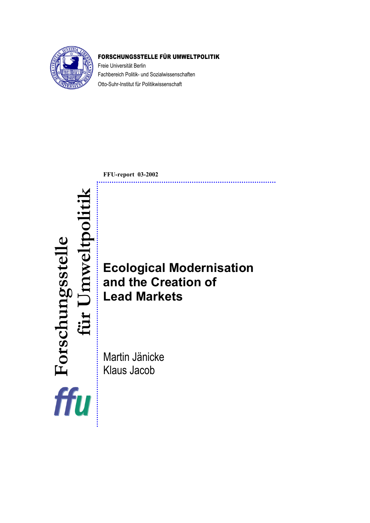

**Forschungsstelle** 

Forschungsstelle

ffu

### FORSCHUNGSSTELLE FÜR UMWELTPOLITIK

Freie Universität Berlin Fachbereich Politik- und Sozialwissenschaften Otto-Suhr-Institut für Politikwissenschaft

**FFU-report 03-2002** 

# **für Umwelt mweltpol Ecological Modernisation and the Creation of Lead Markets**

Martin Jänicke Klaus Jacob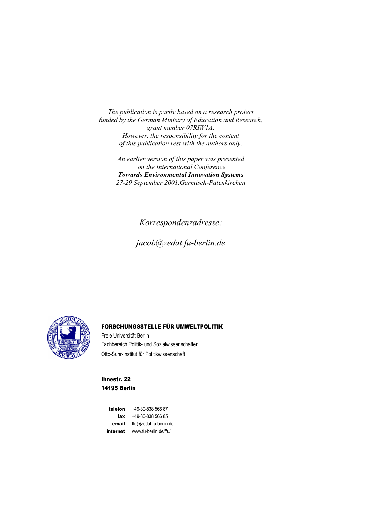*The publication is partly based on a research project funded by the German Ministry of Education and Research, grant number 07RIW1A. However, the responsibility for the content of this publication rest with the authors only.* 

> *An earlier version of this paper was presented on the International Conference Towards Environmental Innovation Systems 27-29 September 2001,Garmisch-Patenkirchen*

> > *Korrespondenzadresse:*

*jacob@zedat.fu-berlin.de* 



#### FORSCHUNGSSTELLE FÜR UMWELTPOLITIK

Freie Universität Berlin Fachbereich Politik- und Sozialwissenschaften Otto-Suhr-Institut für Politikwissenschaft

#### Ihnestr. 22 14195 Berlin

| telefon  | +49-30-838 566 87      |  |  |
|----------|------------------------|--|--|
| fax      | +49-30-838 566 85      |  |  |
| email    | ffu@zedat.fu-berlin.de |  |  |
| internet | www.fu-berlin.de/ffu/  |  |  |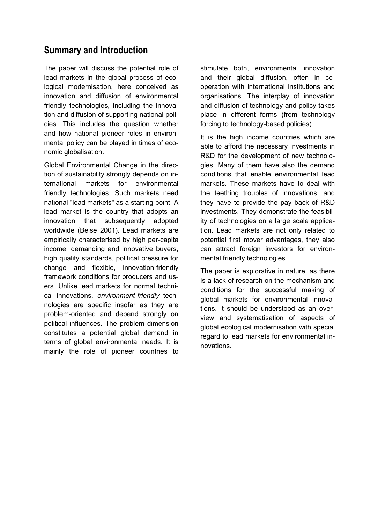# **Summary and Introduction**

The paper will discuss the potential role of lead markets in the global process of ecological modernisation, here conceived as innovation and diffusion of environmental friendly technologies, including the innovation and diffusion of supporting national policies. This includes the question whether and how national pioneer roles in environmental policy can be played in times of economic globalisation.

Global Environmental Change in the direction of sustainability strongly depends on international markets for environmental friendly technologies. Such markets need national "lead markets" as a starting point. A lead market is the country that adopts an innovation that subsequently adopted worldwide (Beise 2001). Lead markets are empirically characterised by high per-capita income, demanding and innovative buyers, high quality standards, political pressure for change and flexible, innovation-friendly framework conditions for producers and users. Unlike lead markets for normal technical innovations, *environment-friendly* technologies are specific insofar as they are problem-oriented and depend strongly on political influences. The problem dimension constitutes a potential global demand in terms of global environmental needs. It is mainly the role of pioneer countries to stimulate both, environmental innovation and their global diffusion, often in cooperation with international institutions and organisations. The interplay of innovation and diffusion of technology and policy takes place in different forms (from technology forcing to technology-based policies).

It is the high income countries which are able to afford the necessary investments in R&D for the development of new technologies. Many of them have also the demand conditions that enable environmental lead markets. These markets have to deal with the teething troubles of innovations, and they have to provide the pay back of R&D investments. They demonstrate the feasibility of technologies on a large scale application. Lead markets are not only related to potential first mover advantages, they also can attract foreign investors for environmental friendly technologies.

The paper is explorative in nature, as there is a lack of research on the mechanism and conditions for the successful making of global markets for environmental innovations. It should be understood as an overview and systematisation of aspects of global ecological modernisation with special regard to lead markets for environmental innovations.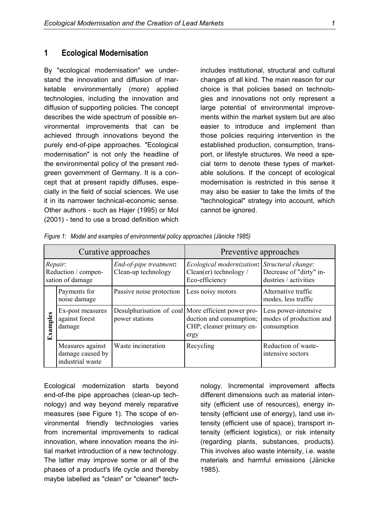## **1 Ecological Modernisation**

By "ecological modernisation" we understand the innovation and diffusion of marketable environmentally (more) applied technologies, including the innovation and diffusion of supporting policies. The concept describes the wide spectrum of possible environmental improvements that can be achieved through innovations beyond the purely end-of-pipe approaches. "Ecological modernisation" is not only the headline of the environmental policy of the present redgreen government of Germany. It is a concept that at present rapidly diffuses, especially in the field of social sciences. We use it in its narrower technical-economic sense. Other authors - such as Hajer (1995) or Mol (2001) - tend to use a broad definition which

includes institutional, structural and cultural changes of all kind. The main reason for our choice is that policies based on technologies and innovations not only represent a large potential of environmental improvements within the market system but are also easier to introduce and implement than those policies requiring intervention in the established production, consumption, transport, or lifestyle structures. We need a special term to denote these types of marketable solutions. If the concept of ecological modernisation is restricted in this sense it may also be easier to take the limits of the "technological" strategy into account, which cannot be ignored.

| Curative approaches                                |          |                                                          |                                               | Preventive approaches                                                                                              |                                                                        |  |
|----------------------------------------------------|----------|----------------------------------------------------------|-----------------------------------------------|--------------------------------------------------------------------------------------------------------------------|------------------------------------------------------------------------|--|
| Repair:<br>Reduction / compen-<br>sation of damage |          |                                                          | End-of-pipe treatment:<br>Clean-up technology | Ecological modernization:<br>Clean(er) technology /<br>Eco-efficiency                                              | Structural change:<br>Decrease of "dirty" in-<br>dustries / activities |  |
|                                                    |          | Payments for<br>noise damage                             | Passive noise protection                      | Less noisy motors                                                                                                  | Alternative traffic<br>modes, less traffic                             |  |
|                                                    | Examples | Ex-post measures<br>against forest<br>damage             | power stations                                | Desulphurisation of coal More efficient power pro-<br>duction and consumption;<br>CHP; cleaner primary en-<br>ergy | Less power-intensive<br>modes of production and<br>consumption         |  |
|                                                    |          | Measures against<br>damage caused by<br>industrial waste | Waste incineration                            | Recycling                                                                                                          | Reduction of waste-<br>intensive sectors                               |  |

*Figure 1: Model and examples of environmental policy approaches (Jänicke 1985)* 

Ecological modernization starts beyond end-of-the pipe approaches (clean-up technology) and way beyond merely reparative measures (see Figure 1). The scope of environmental friendly technologies varies from incremental improvements to radical innovation, where innovation means the initial market introduction of a new technology. The latter may improve some or all of the phases of a product's life cycle and thereby maybe labelled as "clean" or "cleaner" tech-

nology. Incremental improvement affects different dimensions such as material intensity (efficient use of resources), energy intensity (efficient use of energy), land use intensity (efficient use of space), transport intensity (efficient logistics), or risk intensity (regarding plants, substances, products). This involves also waste intensity, i.e. waste materials and harmful emissions (Jänicke 1985).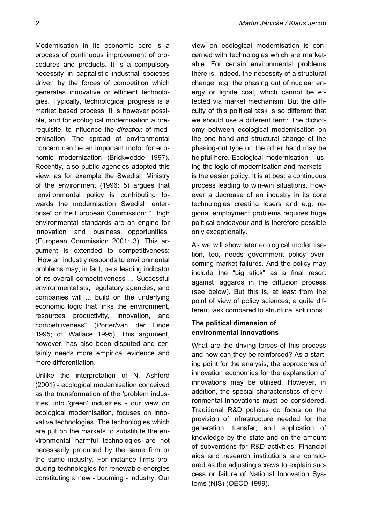process of continuous improvement of procedures and products. It is a compulsory necessity in capitalistic industrial societies driven by the forces of competition which generates innovative or efficient technologies. Typically, technological progress is a market based process. It is however possible, and for ecological modernisation a prerequisite, to influence the *direction* of modernisation. The spread of environmental concern can be an important motor for economic modernization (Brickwedde 1997). Recently, also public agencies adopted this view, as for example the Swedish Ministry of the environment (1996: 5) argues that "environmental policy is contributing towards the modernisation Swedish enterprise" or the European Commission: "...high environmental standards are an engine for innovation and business opportunities" (European Commission 2001: 3). This argument is extended to competitiveness: "How an industry responds to environmental problems may, in fact, be a leading indicator of its overall competitiveness ... Successful environmentalists, regulatory agencies, and companies will ... build on the underlying economic logic that links the environment, resources productivity, innovation, and competitiveness" (Porter/van der Linde 1995; cf. Wallace 1995). This argument, however, has also been disputed and certainly needs more empirical evidence and more differentiation.

Unlike the interpretation of N. Ashford (2001) - ecological modernisation conceived as the transformation of the 'problem industries' into 'green' industries - our view on ecological modernisation, focuses on innovative technologies. The technologies which are put on the markets to substitute the environmental harmful technologies are not necessarily produced by the same firm or the same industry. For instance firms producing technologies for renewable energies constituting a new - booming - industry. Our

view on ecological modernisation is concerned with technologies which are marketable. For certain environmental problems there is, indeed, the necessity of a structural change, e.g. the phasing out of nuclear energy or lignite coal, which cannot be effected via market mechanism. But the difficulty of this political task is so different that we should use a different term: The dichotomy between ecological modernisation on the one hand and structural change of the phasing-out type on the other hand may be helpful here. Ecological modernisation – using the logic of modernisation and markets is the easier policy. It is at best a continuous process leading to win-win situations. However a decrease of an industry in its core technologies creating losers and e.g. regional employment problems requires huge political endeavour and is therefore possible only exceptionally.

As we will show later ecological modernisation, too, needs government policy overcoming market failures. And the policy may include the "big stick" as a final resort against laggards in the diffusion process (see below). But this is, at least from the point of view of policy sciences, a quite different task compared to structural solutions.

## **The political dimension of environmental innovations**

What are the driving forces of this process and how can they be reinforced? As a starting point for the analysis, the approaches of innovation economics for the explanation of innovations may be utilised. However, in addition, the special characteristics of environmental innovations must be considered. Traditional R&D policies do focus on the provision of infrastructure needed for the generation, transfer, and application of knowledge by the state and on the amount of subventions for R&D activities. Financial aids and research institutions are considered as the adjusting screws to explain success or failure of National Innovation Systems (NIS) (OECD 1999).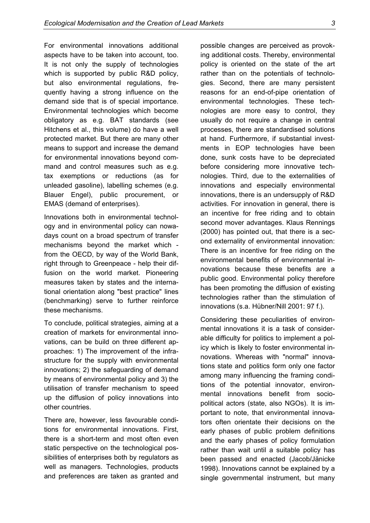For environmental innovations additional aspects have to be taken into account, too. It is not only the supply of technologies which is supported by public R&D policy, but also environmental regulations, frequently having a strong influence on the demand side that is of special importance. Environmental technologies which become obligatory as e.g. BAT standards (see Hitchens et al., this volume) do have a well protected market. But there are many other means to support and increase the demand for environmental innovations beyond command and control measures such as e.g. tax exemptions or reductions (as for unleaded gasoline), labelling schemes (e.g. Blauer Engel), public procurement, or EMAS (demand of enterprises).

Innovations both in environmental technology and in environmental policy can nowadays count on a broad spectrum of transfer mechanisms beyond the market which from the OECD, by way of the World Bank, right through to Greenpeace - help their diffusion on the world market. Pioneering measures taken by states and the international orientation along "best practice" lines (benchmarking) serve to further reinforce these mechanisms.

To conclude, political strategies, aiming at a creation of markets for environmental innovations, can be build on three different approaches: 1) The improvement of the infrastructure for the supply with environmental innovations; 2) the safeguarding of demand by means of environmental policy and 3) the utilisation of transfer mechanism to speed up the diffusion of policy innovations into other countries.

There are, however, less favourable conditions for environmental innovations. First, there is a short-term and most often even static perspective on the technological possibilities of enterprises both by regulators as well as managers. Technologies, products and preferences are taken as granted and

possible changes are perceived as provoking additional costs. Thereby, environmental policy is oriented on the state of the art rather than on the potentials of technologies. Second, there are many persistent reasons for an end-of-pipe orientation of environmental technologies. These technologies are more easy to control, they usually do not require a change in central processes, there are standardised solutions at hand. Furthermore, if substantial investments in EOP technologies have been done, sunk costs have to be depreciated before considering more innovative technologies. Third, due to the externalities of innovations and especially environmental innovations, there is an undersupply of R&D activities. For innovation in general, there is an incentive for free riding and to obtain second mover advantages. Klaus Rennings (2000) has pointed out, that there is a second externality of environmental innovation: There is an incentive for free riding on the environmental benefits of environmental innovations because these benefits are a public good. Environmental policy therefore has been promoting the diffusion of existing technologies rather than the stimulation of innovations (s.a. Hübner/Nill 2001: 97 f.).

Considering these peculiarities of environmental innovations it is a task of considerable difficulty for politics to implement a policy which is likely to foster environmental innovations. Whereas with "normal" innovations state and politics form only one factor among many influencing the framing conditions of the potential innovator, environmental innovations benefit from sociopolitical actors (state, also NGOs). It is important to note, that environmental innovators often orientate their decisions on the early phases of public problem definitions and the early phases of policy formulation rather than wait until a suitable policy has been passed and enacted (Jacob/Jänicke 1998). Innovations cannot be explained by a single governmental instrument, but many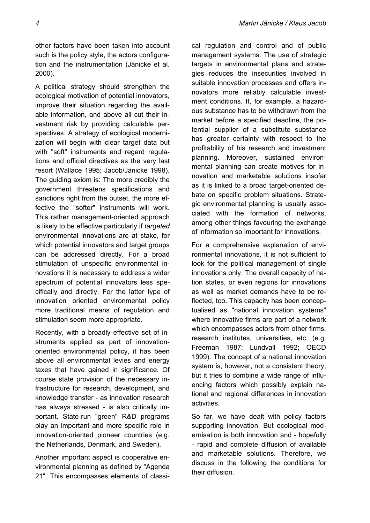other factors have been taken into account such is the policy style, the actors configuration and the instrumentation (Jänicke et al. 2000).

A political strategy should strengthen the ecological motivation of potential innovators, improve their situation regarding the available information, and above all cut their investment risk by providing calculable perspectives. A strategy of ecological modernization will begin with clear target data but with "soft" instruments and regard regulations and official directives as the very last resort (Wallace 1995; Jacob/Jänicke 1998). The guiding axiom is: The more credibly the government threatens specifications and sanctions right from the outset, the more effective the "softer" instruments will work. This rather management-oriented approach is likely to be effective particularly if *targeted* environmental innovations are at stake, for which potential innovators and target groups can be addressed directly. For a broad stimulation of unspecific environmental innovations it is necessary to address a wider spectrum of potential innovators less specifically and directly. For the latter type of innovation oriented environmental policy more traditional means of regulation and stimulation seem more appropriate.

Recently, with a broadly effective set of instruments applied as part of innovationoriented environmental policy, it has been above all environmental levies and energy taxes that have gained in significance. Of course state provision of the necessary infrastructure for research, development, and knowledge transfer - as innovation research has always stressed - is also critically important. State-run "green" R&D programs play an important and more specific role in innovation-oriented pioneer countries (e.g. the Netherlands, Denmark, and Sweden).

Another important aspect is cooperative environmental planning as defined by "Agenda 21". This encompasses elements of classi-

cal regulation and control and of public management systems. The use of strategic targets in environmental plans and strategies reduces the insecurities involved in suitable innovation processes and offers innovators more reliably calculable investment conditions. If, for example, a hazardous substance has to be withdrawn from the market before a specified deadline, the potential supplier of a substitute substance has greater certainty with respect to the profitability of his research and investment planning. Moreover, sustained environmental planning can create motives for innovation and marketable solutions insofar as it is linked to a broad target-oriented debate on specific problem situations. Strategic environmental planning is usually associated with the formation of networks, among other things favouring the exchange of information so important for innovations.

For a comprehensive explanation of environmental innovations, it is not sufficient to look for the political management of single innovations only. The overall capacity of nation states, or even regions for innovations as well as market demands have to be reflected, too. This capacity has been conceptualised as "national innovation systems" where innovative firms are part of a network which encompasses actors from other firms, research institutes, universities, etc. (e.g. Freeman 1987; Lundvall 1992; OECD 1999). The concept of a national innovation system is, however, not a consistent theory, but it tries to combine a wide range of influencing factors which possibly explain national and regional differences in innovation activities.

So far, we have dealt with policy factors supporting innovation. But ecological modernisation is both innovation and - hopefully - rapid and complete diffusion of available and marketable solutions. Therefore, we discuss in the following the conditions for their diffusion.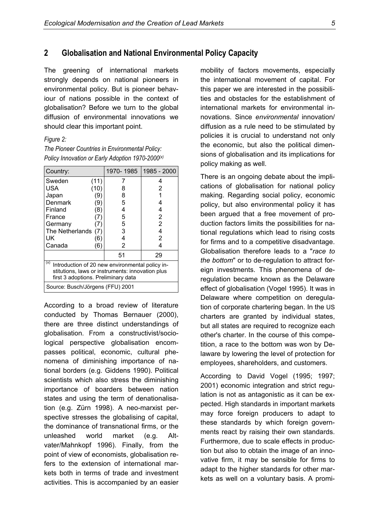# **2 Globalisation and National Environmental Policy Capacity**

The greening of international markets strongly depends on national pioneers in environmental policy. But is pioneer behaviour of nations possible in the context of globalisation? Before we turn to the global diffusion of environmental innovations we should clear this important point.

#### *Figure 2:*

*The Pioneer Countries in Environmental Policy: Policy Innovation or Early Adoption 1970-2000(x)*

| Country:                                                                                                                                          |      | 1970-1985 | 1985 - 2000 |  |
|---------------------------------------------------------------------------------------------------------------------------------------------------|------|-----------|-------------|--|
| Sweden                                                                                                                                            | (11) | 7         | 4           |  |
| <b>USA</b>                                                                                                                                        | (10) | 8         | 2           |  |
| Japan                                                                                                                                             | (9)  | 8         |             |  |
| <b>Denmark</b>                                                                                                                                    | (9)  | 5         | 4           |  |
| Finland                                                                                                                                           | (8)  | 4         | 4           |  |
| France                                                                                                                                            |      | 5         | 2           |  |
| Germany                                                                                                                                           |      | 5         | 2           |  |
| The Netherlands                                                                                                                                   | (7)  | 3         | 4           |  |
| UK                                                                                                                                                | (6)  | 4         | 2           |  |
| Canada                                                                                                                                            | (6)  | 2         | 4           |  |
| 51<br>29                                                                                                                                          |      |           |             |  |
| (x)<br>Introduction of 20 new environmental policy in-<br>stitutions, laws or instruments: innovation plus<br>first 3 adoptions. Preliminary data |      |           |             |  |
| Source: Busch/Jörgens (FFU) 2001                                                                                                                  |      |           |             |  |

According to a broad review of literature conducted by Thomas Bernauer (2000), there are three distinct understandings of globalisation. From a constructivist/sociological perspective globalisation encompasses political, economic, cultural phenomena of diminishing importance of national borders (e.g. Giddens 1990). Political scientists which also stress the diminishing importance of boarders between nation states and using the term of denationalisation (e.g. Zürn 1998). A neo-marxist perspective stresses the globalising of capital, the dominance of transnational firms, or the unleashed world market (e.g. Altvater/Mahnkopf 1996). Finally, from the point of view of economists, globalisation refers to the extension of international markets both in terms of trade and investment activities. This is accompanied by an easier

mobility of factors movements, especially the international movement of capital. For this paper we are interested in the possibilities and obstacles for the establishment of international markets for environmental innovations. Since *environmental* innovation/ diffusion as a rule need to be stimulated by policies it is crucial to understand not only the economic, but also the political dimensions of globalisation and its implications for policy making as well.

There is an ongoing debate about the implications of globalisation for national policy making. Regarding social policy, economic policy, but also environmental policy it has been argued that a free movement of production factors limits the possibilities for national regulations which lead to rising costs for firms and to a competitive disadvantage. Globalisation therefore leads to a "*race to the bottom*" or to de-regulation to attract foreign investments. This phenomena of deregulation became known as the Delaware effect of globalisation (Vogel 1995). It was in Delaware where competition on deregulation of corporate chartering began. In the US charters are granted by individual states, but all states are required to recognize each other's charter. In the course of this competition, a race to the bottom was won by Delaware by lowering the level of protection for employees, shareholders, and customers.

According to David Vogel (1995; 1997; 2001) economic integration and strict regulation is not as antagonistic as it can be expected. High standards in important markets may force foreign producers to adapt to these standards by which foreign governments react by raising their own standards. Furthermore, due to scale effects in production but also to obtain the image of an innovative firm, it may be sensible for firms to adapt to the higher standards for other markets as well on a voluntary basis. A promi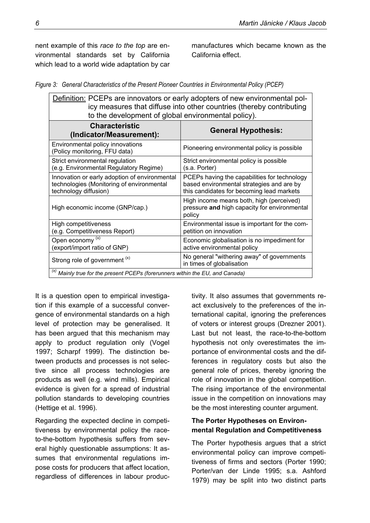nent example of this *race to the top* are environmental standards set by California which lead to a world wide adaptation by car

manufactures which became known as the California effect.

|  |  | Figure 3: General Characteristics of the Present Pioneer Countries in Environmental Policy (PCEP) |  |  |  |  |  |  |
|--|--|---------------------------------------------------------------------------------------------------|--|--|--|--|--|--|
|--|--|---------------------------------------------------------------------------------------------------|--|--|--|--|--|--|

| Definition: PCEPs are innovators or early adopters of new environmental pol-<br>icy measures that diffuse into other countries (thereby contributing<br>to the development of global environmental policy). |                                                                                                                                        |  |  |
|-------------------------------------------------------------------------------------------------------------------------------------------------------------------------------------------------------------|----------------------------------------------------------------------------------------------------------------------------------------|--|--|
| <b>Characteristic</b><br>(Indicator/Measurement):                                                                                                                                                           | <b>General Hypothesis:</b>                                                                                                             |  |  |
| Environmental policy innovations<br>(Policy monitoring, FFU data)                                                                                                                                           | Pioneering environmental policy is possible                                                                                            |  |  |
| Strict environmental regulation<br>(e.g. Environmental Regulatory Regime)                                                                                                                                   | Strict environmental policy is possible<br>(s.a. Porter)                                                                               |  |  |
| Innovation or early adoption of environmental<br>technologies (Monitoring of environmental<br>technology diffusion)                                                                                         | PCEPs having the capabilities for technology<br>based environmental strategies and are by<br>this candidates for becoming lead markets |  |  |
| High economic income (GNP/cap.)                                                                                                                                                                             | High income means both, high (perceived)<br>pressure and high capacity for environmental<br>policy                                     |  |  |
| High competitiveness<br>(e.g. Competitiveness Report)                                                                                                                                                       | Environmental issue is important for the com-<br>petition on innovation                                                                |  |  |
| Open economy (x)<br>(export/import ratio of GNP)                                                                                                                                                            | Economic globalisation is no impediment for<br>active environmental policy                                                             |  |  |
| Strong role of government (x)                                                                                                                                                                               | No general "withering away" of governments<br>in times of globalisation                                                                |  |  |
| <sup>(x)</sup> Mainly true for the present PCEPs (forerunners within the EU, and Canada)                                                                                                                    |                                                                                                                                        |  |  |

It is a question open to empirical investigation if this example of a successful convergence of environmental standards on a high level of protection may be generalised. It has been argued that this mechanism may apply to product regulation only (Vogel 1997; Scharpf 1999). The distinction between products and processes is not selective since all process technologies are products as well (e.g. wind mills). Empirical evidence is given for a spread of industrial pollution standards to developing countries (Hettige et al. 1996).

Regarding the expected decline in competitiveness by environmental policy the raceto-the-bottom hypothesis suffers from several highly questionable assumptions: It assumes that environmental regulations impose costs for producers that affect location, regardless of differences in labour productivity. It also assumes that governments react exclusively to the preferences of the international capital, ignoring the preferences of voters or interest groups (Drezner 2001). Last but not least, the race-to-the-bottom hypothesis not only overestimates the importance of environmental costs and the differences in regulatory costs but also the general role of prices, thereby ignoring the role of innovation in the global competition. The rising importance of the environmental issue in the competition on innovations may be the most interesting counter argument.

### **The Porter Hypotheses on Environmental Regulation and Competitiveness**

The Porter hypothesis argues that a strict environmental policy can improve competitiveness of firms and sectors (Porter 1990; Porter/van der Linde 1995; s.a. Ashford 1979) may be split into two distinct parts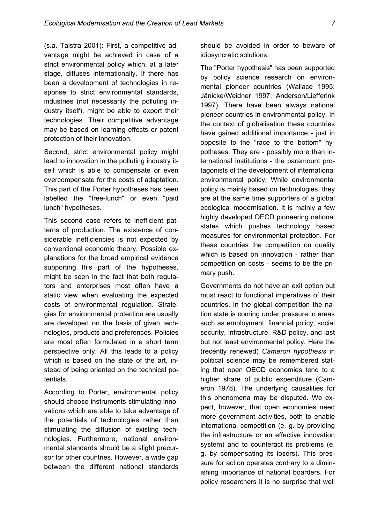(s.a. Taistra 2001): First, a competitive advantage might be achieved in case of a strict environmental policy which, at a later stage, diffuses internationally. If there has been a development of technologies in response to strict environmental standards, industries (not necessarily the polluting industry itself), might be able to export their technologies. Their competitive advantage may be based on learning effects or patent protection of their innovation.

Second, strict environmental policy might lead to innovation in the polluting industry itself which is able to compensate or even overcompensate for the costs of adaptation. This part of the Porter hypotheses has been labelled the "free-lunch" or even "paid lunch" hypotheses.

This second case refers to inefficient patterns of production. The existence of considerable inefficiencies is not expected by conventional economic theory. Possible explanations for the broad empirical evidence supporting this part of the hypotheses, might be seen in the fact that both regulators and enterprises most often have a static view when evaluating the expected costs of environmental regulation. Strategies for environmental protection are usually are developed on the basis of given technologies, products and preferences. Policies are most often formulated in a short term perspective only. All this leads to a policy which is based on the state of the art, instead of being oriented on the technical potentials.

According to Porter, environmental policy should choose instruments stimulating innovations which are able to take advantage of the potentials of technologies rather than stimulating the diffusion of existing technologies. Furthermore, national environmental standards should be a slight precursor for other countries. However, a wide gap between the different national standards

should be avoided in order to beware of idiosyncratic solutions.

The "Porter hypothesis" has been supported by policy science research on environmental pioneer countries (Wallace 1995; Jänicke/Weidner 1997; Anderson/Liefferink 1997). There have been always national pioneer countries in environmental policy. In the context of globalisation these countries have gained additional importance - just in opposite to the "race to the bottom" hypotheses. They are - possibly more than international institutions - the paramount protagonists of the development of international environmental policy. While environmental policy is mainly based on technologies, they are at the same time supporters of a global ecological modernisation. It is mainly a few highly developed OECD pioneering national states which pushes technology based measures for environmental protection. For these countries the competition on quality which is based on innovation - rather than competition on costs - seems to be the primary push.

Governments do not have an exit option but must react to functional imperatives of their countries. In the global competition the nation state is coming under pressure in areas such as employment, financial policy, social security, infrastructure, R&D policy, and last but not least environmental policy. Here the (recently renewed) *Cameron hypothesis* in political science may be remembered stating that open OECD economies tend to a higher share of public expenditure (Cameron 1978). The underlying causalities for this phenomena may be disputed. We expect, however, that open economies need more government activities, both to enable international competition (e. g. by providing the infrastructure or an effective innovation system) and to counteract its problems (e. g. by compensating its losers). This pressure for action operates contrary to a diminishing importance of national boarders. For policy researchers it is no surprise that well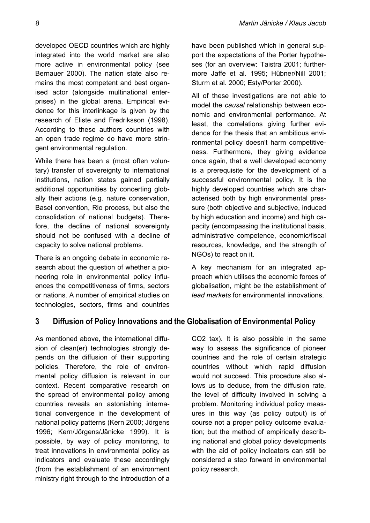developed OECD countries which are highly integrated into the world market are also more active in environmental policy (see Bernauer 2000). The nation state also remains the most competent and best organised actor (alongside multinational enterprises) in the global arena. Empirical evidence for this interlinkage is given by the research of Eliste and Fredriksson (1998). According to these authors countries with an open trade regime do have more stringent environmental regulation.

While there has been a (most often voluntary) transfer of sovereignty to international institutions, nation states gained partially additional opportunities by concerting globally their actions (e.g. nature conservation, Basel convention, Rio process, but also the consolidation of national budgets). Therefore, the decline of national sovereignty should not be confused with a decline of capacity to solve national problems.

There is an ongoing debate in economic research about the question of whether a pioneering role in environmental policy influences the competitiveness of firms, sectors or nations. A number of empirical studies on technologies, sectors, firms and countries

have been published which in general support the expectations of the Porter hypotheses (for an overview: Taistra 2001; furthermore Jaffe et al. 1995; Hübner/Nill 2001; Sturm et al. 2000; Esty/Porter 2000).

All of these investigations are not able to model the *causal* relationship between economic and environmental performance. At least, the correlations giving further evidence for the thesis that an ambitious environmental policy doesn't harm competitiveness. Furthermore, they giving evidence once again, that a well developed economy is a prerequisite for the development of a successful environmental policy. It is the highly developed countries which are characterised both by high environmental pressure (both objective and subjective, induced by high education and income) and high capacity (encompassing the institutional basis, administrative competence, economic/fiscal resources, knowledge, and the strength of NGOs) to react on it.

A key mechanism for an integrated approach which utilises the economic forces of globalisation, might be the establishment of *lead markets* for environmental innovations.

# **3 Diffusion of Policy Innovations and the Globalisation of Environmental Policy**

As mentioned above, the international diffusion of clean(er) technologies strongly depends on the diffusion of their supporting policies. Therefore, the role of environmental policy diffusion is relevant in our context. Recent comparative research on the spread of environmental policy among countries reveals an astonishing international convergence in the development of national policy patterns (Kern 2000; Jörgens 1996; Kern/Jörgens/Jänicke 1999). It is possible, by way of policy monitoring, to treat innovations in environmental policy as indicators and evaluate these accordingly (from the establishment of an environment ministry right through to the introduction of a

CO2 tax). It is also possible in the same way to assess the significance of pioneer countries and the role of certain strategic countries without which rapid diffusion would not succeed. This procedure also allows us to deduce, from the diffusion rate, the level of difficulty involved in solving a problem. Monitoring individual policy measures in this way (as policy output) is of course not a proper policy outcome evaluation; but the method of empirically describing national and global policy developments with the aid of policy indicators can still be considered a step forward in environmental policy research.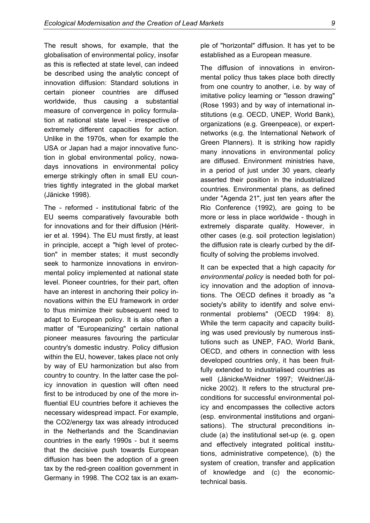The result shows, for example, that the globalisation of environmental policy, insofar as this is reflected at state level, can indeed be described using the analytic concept of innovation diffusion: Standard solutions in certain pioneer countries are diffused worldwide, thus causing a substantial measure of convergence in policy formulation at national state level - irrespective of extremely different capacities for action. Unlike in the 1970s, when for example the USA or Japan had a major innovative function in global environmental policy, nowadays innovations in environmental policy emerge strikingly often in small EU countries tightly integrated in the global market (Jänicke 1998).

The - reformed - institutional fabric of the EU seems comparatively favourable both for innovations and for their diffusion (Héritier et al. 1994). The EU must firstly, at least in principle, accept a "high level of protection" in member states; it must secondly seek to harmonize innovations in environmental policy implemented at national state level. Pioneer countries, for their part, often have an interest in anchoring their policy innovations within the EU framework in order to thus minimize their subsequent need to adapt to European policy. It is also often a matter of "Europeanizing" certain national pioneer measures favouring the particular country's domestic industry. Policy diffusion within the EU, however, takes place not only by way of EU harmonization but also from country to country. In the latter case the policy innovation in question will often need first to be introduced by one of the more influential EU countries before it achieves the necessary widespread impact. For example, the CO2/energy tax was already introduced in the Netherlands and the Scandinavian countries in the early 1990s - but it seems that the decisive push towards European diffusion has been the adoption of a green tax by the red-green coalition government in Germany in 1998. The CO2 tax is an exam-

ple of "horizontal" diffusion. It has yet to be established as a European measure.

The diffusion of innovations in environmental policy thus takes place both directly from one country to another, i.e. by way of imitative policy learning or "lesson drawing" (Rose 1993) and by way of international institutions (e.g. OECD, UNEP, World Bank), organizations (e.g. Greenpeace), or expertnetworks (e.g. the International Network of Green Planners). It is striking how rapidly many innovations in environmental policy are diffused. Environment ministries have, in a period of just under 30 years, clearly asserted their position in the industrialized countries. Environmental plans, as defined under "Agenda 21", just ten years after the Rio Conference (1992), are going to be more or less in place worldwide - though in extremely disparate quality. However, in other cases (e.g. soil protection legislation) the diffusion rate is clearly curbed by the difficulty of solving the problems involved.

It can be expected that a high capacity *for environmental policy* is needed both for policy innovation and the adoption of innovations. The OECD defines it broadly as "a society's ability to identify and solve environmental problems" (OECD 1994: 8). While the term capacity and capacity building was used previously by numerous institutions such as UNEP, FAO, World Bank, OECD, and others in connection with less developed countries only, it has been fruitfully extended to industrialised countries as well (Jänicke/Weidner 1997; Weidner/Jänicke 2002). It refers to the structural preconditions for successful environmental policy and encompasses the collective actors (esp. environmental institutions and organisations). The structural preconditions include (a) the institutional set-up (e. g. open and effectively integrated political institutions, administrative competence), (b) the system of creation, transfer and application of knowledge and (c) the economictechnical basis.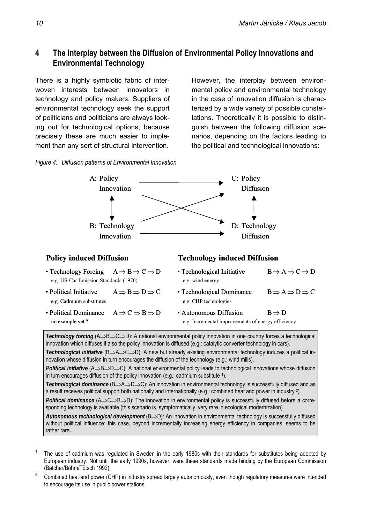# **4 The Interplay between the Diffusion of Environmental Policy Innovations and Environmental Technology**

There is a highly symbiotic fabric of interwoven interests between innovators in technology and policy makers. Suppliers of environmental technology seek the support of politicians and politicians are always looking out for technological options, because precisely these are much easier to implement than any sort of structural intervention.

*Figure 4: Diffusion patterns of Environmental Innovation* 

However, the interplay between environmental policy and environmental technology in the case of innovation diffusion is characterized by a wide variety of possible constellations. Theoretically it is possible to distinguish between the following diffusion scenarios, depending on the factors leading to the political and technological innovations:



*Technology forcing* (A⇒B⇒C⇒D): A national environmental policy innovation in one country forces a technological innovation which diffuses if also the policy innovation is diffused (e.g.: catalytic converter technology in cars).

*Technological initiative* (B⇒A⇒C⇒D): A new but already existing environmental technology induces a political innovation whose diffusion in turn encourages the diffusion of the technology (e.g.: wind mills).

*Political initiative* (A⇒B⇒D⇒C): A national environmental policy leads to technological innovations whose diffusion in turn encourages diffusion of the policy innovation (e.g.: cadmium substitute 1).

*Technological dominance* (B⇒A⇒D⇒C): An innovation in environmental technology is successfully diffused and as a result receives political support both nationally and internationally (e.g.: combined heat and power in industry 2).

*Political dominance* (A⇒C⇒B⇒D): The innovation in environmental policy is successfully diffused before a corresponding technology is available (this scenario is, symptomatically, very rare in ecological modernization).

*Autonomous technological development* (B⇒D): An innovation in environmental technology is successfully diffused without political influence; this case, beyond incrementally increasing energy efficiency in companies, seems to be rather rare*.*

l

<sup>1</sup> The use of cadmium was regulated in Sweden in the early 1980s with their standards for substitutes being adopted by European industry. Not until the early 1990s, however, were these standards made binding by the European Commission (Bätcher/Böhm/Tötsch 1992).

<sup>&</sup>lt;sup>2</sup> Combined heat and power (CHP) in industry spread largely autonomously, even though regulatory measures were intended to encourage its use in public power stations.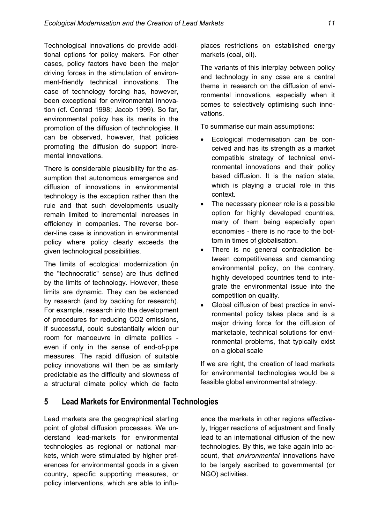Technological innovations do provide additional options for policy makers. For other cases, policy factors have been the major driving forces in the stimulation of environment-friendly technical innovations. The case of technology forcing has, however, been exceptional for environmental innovation (cf. Conrad 1998; Jacob 1999). So far, environmental policy has its merits in the promotion of the diffusion of technologies. It can be observed, however, that policies promoting the diffusion do support incremental innovations.

There is considerable plausibility for the assumption that autonomous emergence and diffusion of innovations in environmental technology is the exception rather than the rule and that such developments usually remain limited to incremental increases in efficiency in companies. The reverse border-line case is innovation in environmental policy where policy clearly exceeds the given technological possibilities.

The limits of ecological modernization (in the "technocratic" sense) are thus defined by the limits of technology. However, these limits are dynamic. They can be extended by research (and by backing for research). For example, research into the development of procedures for reducing CO2 emissions, if successful, could substantially widen our room for manoeuvre in climate politics even if only in the sense of end-of-pipe measures. The rapid diffusion of suitable policy innovations will then be as similarly predictable as the difficulty and slowness of a structural climate policy which de facto places restrictions on established energy markets (coal, oil).

The variants of this interplay between policy and technology in any case are a central theme in research on the diffusion of environmental innovations, especially when it comes to selectively optimising such innovations.

To summarise our main assumptions:

- Ecological modernisation can be conceived and has its strength as a market compatible strategy of technical environmental innovations and their policy based diffusion. It is the nation state, which is playing a crucial role in this context.
- The necessary pioneer role is a possible option for highly developed countries, many of them being especially open economies - there is no race to the bottom in times of globalisation.
- There is no general contradiction between competitiveness and demanding environmental policy, on the contrary, highly developed countries tend to integrate the environmental issue into the competition on quality.
- Global diffusion of best practice in environmental policy takes place and is a major driving force for the diffusion of marketable, technical solutions for environmental problems, that typically exist on a global scale

If we are right, the creation of lead markets for environmental technologies would be a feasible global environmental strategy.

# **5 Lead Markets for Environmental Technologies**

Lead markets are the geographical starting point of global diffusion processes. We understand lead-markets for environmental technologies as regional or national markets, which were stimulated by higher preferences for environmental goods in a given country, specific supporting measures, or policy interventions, which are able to influence the markets in other regions effectively, trigger reactions of adjustment and finally lead to an international diffusion of the new technologies. By this, we take again into account, that *environmental* innovations have to be largely ascribed to governmental (or NGO) activities.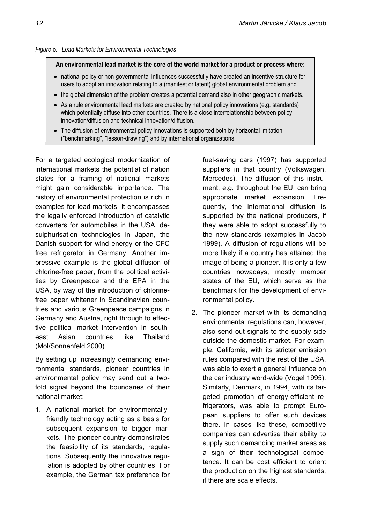



- national policy or non-governmental influences successfully have created an incentive structure for users to adopt an innovation relating to a (manifest or latent) global environmental problem and
- the global dimension of the problem creates a potential demand also in other geographic markets.
- As a rule environmental lead markets are created by national policy innovations (e.g. standards) which potentially diffuse into other countries. There is a close interrelationship between policy innovation/diffusion and technical innovation/diffusion.
- The diffusion of environmental policy innovations is supported both by horizontal imitation ("benchmarking", "lesson-drawing") and by international organizations

For a targeted ecological modernization of international markets the potential of nation states for a framing of national markets might gain considerable importance. The history of environmental protection is rich in examples for lead-markets: it encompasses the legally enforced introduction of catalytic converters for automobiles in the USA, desulphurisation technologies in Japan, the Danish support for wind energy or the CFC free refrigerator in Germany. Another impressive example is the global diffusion of chlorine-free paper, from the political activities by Greenpeace and the EPA in the USA, by way of the introduction of chlorinefree paper whitener in Scandinavian countries and various Greenpeace campaigns in Germany and Austria, right through to effective political market intervention in southeast Asian countries like Thailand (Mol/Sonnenfeld 2000).

By setting up increasingly demanding environmental standards, pioneer countries in environmental policy may send out a twofold signal beyond the boundaries of their national market:

1. A national market for environmentallyfriendly technology acting as a basis for subsequent expansion to bigger markets. The pioneer country demonstrates the feasibility of its standards, regulations. Subsequently the innovative regulation is adopted by other countries. For example, the German tax preference for fuel-saving cars (1997) has supported suppliers in that country (Volkswagen, Mercedes). The diffusion of this instrument, e.g. throughout the EU, can bring appropriate market expansion. Frequently, the international diffusion is supported by the national producers, if they were able to adopt successfully to the new standards (examples in Jacob 1999). A diffusion of regulations will be more likely if a country has attained the image of being a pioneer. It is only a few countries nowadays, mostly member states of the EU, which serve as the benchmark for the development of environmental policy.

2. The pioneer market with its demanding environmental regulations can, however, also send out signals to the supply side outside the domestic market. For example, California, with its stricter emission rules compared with the rest of the USA, was able to exert a general influence on the car industry word-wide (Vogel 1995). Similarly, Denmark, in 1994, with its targeted promotion of energy-efficient refrigerators, was able to prompt European suppliers to offer such devices there. In cases like these, competitive companies can advertise their ability to supply such demanding market areas as a sign of their technological competence. It can be cost efficient to orient the production on the highest standards, if there are scale effects.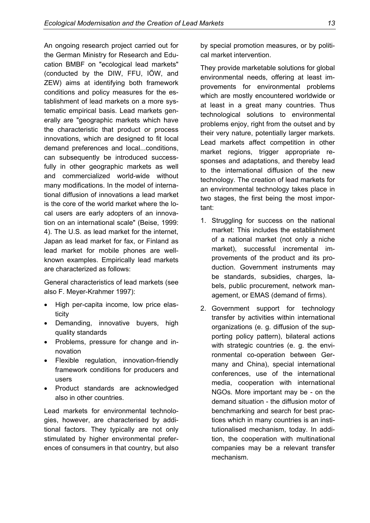An ongoing research project carried out for the German Ministry for Research and Education BMBF on "ecological lead markets" (conducted by the DIW, FFU, IÖW, and ZEW) aims at identifying both framework conditions and policy measures for the establishment of lead markets on a more systematic empirical basis. Lead markets generally are "geographic markets which have the characteristic that product or process innovations, which are designed to fit local demand preferences and local...conditions, can subsequently be introduced successfully in other geographic markets as well and commercialized world-wide without many modifications. In the model of international diffusion of innovations a lead market is the core of the world market where the local users are early adopters of an innovation on an international scale" (Beise, 1999: 4). The U.S. as lead market for the internet, Japan as lead market for fax, or Finland as lead market for mobile phones are wellknown examples. Empirically lead markets are characterized as follows:

General characteristics of lead markets (see also F. Meyer-Krahmer 1997):

- High per-capita income, low price elasticity
- Demanding, innovative buyers, high quality standards
- Problems, pressure for change and innovation
- Flexible regulation, innovation-friendly framework conditions for producers and users
- Product standards are acknowledged also in other countries.

Lead markets for environmental technologies, however, are characterised by additional factors. They typically are not only stimulated by higher environmental preferences of consumers in that country, but also

by special promotion measures, or by political market intervention.

They provide marketable solutions for global environmental needs, offering at least improvements for environmental problems which are mostly encountered worldwide or at least in a great many countries. Thus technological solutions to environmental problems enjoy, right from the outset and by their very nature, potentially larger markets. Lead markets affect competition in other market regions, trigger appropriate responses and adaptations, and thereby lead to the international diffusion of the new technology. The creation of lead markets for an environmental technology takes place in two stages, the first being the most important:

- 1. Struggling for success on the national market: This includes the establishment of a national market (not only a niche market), successful incremental improvements of the product and its production. Government instruments may be standards, subsidies, charges, labels, public procurement, network management, or EMAS (demand of firms).
- 2. Government support for technology transfer by activities within international organizations (e. g. diffusion of the supporting policy pattern), bilateral actions with strategic countries (e. g. the environmental co-operation between Germany and China), special international conferences, use of the international media, cooperation with international NGOs. More important may be - on the demand situation - the diffusion motor of benchmarking and search for best practices which in many countries is an institutionalised mechanism, today. In addition, the cooperation with multinational companies may be a relevant transfer mechanism.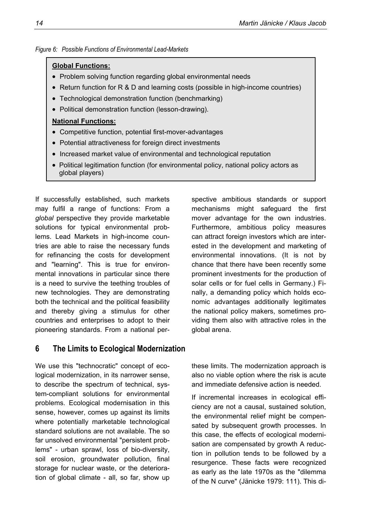#### *Figure 6: Possible Functions of Environmental Lead-Markets*

#### **Global Functions:**

- Problem solving function regarding global environmental needs
- Return function for R & D and learning costs (possible in high-income countries)
- Technological demonstration function (benchmarking)
- Political demonstration function (lesson-drawing).

#### **National Functions:**

- Competitive function, potential first-mover-advantages
- Potential attractiveness for foreign direct investments
- Increased market value of environmental and technological reputation
- Political legitimation function (for environmental policy, national policy actors as global players)

If successfully established, such markets may fulfil a range of functions: From a *global* perspective they provide marketable solutions for typical environmental problems. Lead Markets in high-income countries are able to raise the necessary funds for refinancing the costs for development and "learning". This is true for environmental innovations in particular since there is a need to survive the teething troubles of new technologies. They are demonstrating both the technical and the political feasibility and thereby giving a stimulus for other countries and enterprises to adopt to their pioneering standards. From a national per-

environmental innovations. (It is not by chance that there have been recently some prominent investments for the production of solar cells or for fuel cells in Germany.) Finally, a demanding policy which holds economic advantages additionally legitimates the national policy makers, sometimes providing them also with attractive roles in the global arena.

spective ambitious standards or support mechanisms might safeguard the first mover advantage for the own industries. Furthermore, ambitious policy measures can attract foreign investors which are interested in the development and marketing of

# **6 The Limits to Ecological Modernization**

We use this "technocratic" concept of ecological modernization, in its narrower sense, to describe the spectrum of technical, system-compliant solutions for environmental problems. Ecological modernisation in this sense, however, comes up against its limits where potentially marketable technological standard solutions are not available. The so far unsolved environmental "persistent problems" - urban sprawl, loss of bio-diversity, soil erosion, groundwater pollution, final storage for nuclear waste, or the deterioration of global climate - all, so far, show up

these limits. The modernization approach is also no viable option where the risk is acute and immediate defensive action is needed.

If incremental increases in ecological efficiency are not a causal, sustained solution, the environmental relief might be compensated by subsequent growth processes. In this case, the effects of ecological modernisation are compensated by growth A reduction in pollution tends to be followed by a resurgence. These facts were recognized as early as the late 1970s as the "dilemma of the N curve" (Jänicke 1979: 111). This di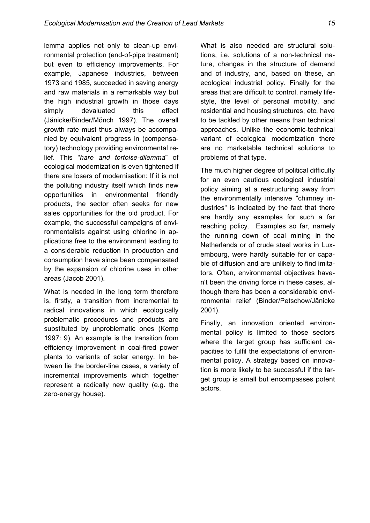lemma applies not only to clean-up environmental protection (end-of-pipe treatment) but even to efficiency improvements. For example, Japanese industries, between 1973 and 1985, succeeded in saving energy and raw materials in a remarkable way but the high industrial growth in those days simply devaluated this effect (Jänicke/Binder/Mönch 1997). The overall growth rate must thus always be accompanied by equivalent progress in (compensatory) technology providing environmental relief. This "*hare and tortoise-dilemma*" of ecological modernization is even tightened if there are losers of modernisation: If it is not the polluting industry itself which finds new opportunities in environmental friendly products, the sector often seeks for new sales opportunities for the old product. For example, the successful campaigns of environmentalists against using chlorine in applications free to the environment leading to a considerable reduction in production and consumption have since been compensated by the expansion of chlorine uses in other areas (Jacob 2001).

What is needed in the long term therefore is, firstly, a transition from incremental to radical innovations in which ecologically problematic procedures and products are substituted by unproblematic ones (Kemp 1997: 9). An example is the transition from efficiency improvement in coal-fired power plants to variants of solar energy. In between lie the border-line cases, a variety of incremental improvements which together represent a radically new quality (e.g. the zero-energy house).

What is also needed are structural solutions, i.e. solutions of a non-technical nature, changes in the structure of demand and of industry, and, based on these, an ecological industrial policy. Finally for the areas that are difficult to control, namely lifestyle, the level of personal mobility, and residential and housing structures, etc. have to be tackled by other means than technical approaches. Unlike the economic-technical variant of ecological modernization there are no marketable technical solutions to problems of that type.

The much higher degree of political difficulty for an even cautious ecological industrial policy aiming at a restructuring away from the environmentally intensive "chimney industries" is indicated by the fact that there are hardly any examples for such a far reaching policy. Examples so far, namely the running down of coal mining in the Netherlands or of crude steel works in Luxembourg, were hardly suitable for or capable of diffusion and are unlikely to find imitators. Often, environmental objectives haven't been the driving force in these cases, although there has been a considerable environmental relief (Binder/Petschow/Jänicke 2001).

Finally, an innovation oriented environmental policy is limited to those sectors where the target group has sufficient capacities to fulfil the expectations of environmental policy. A strategy based on innovation is more likely to be successful if the target group is small but encompasses potent actors.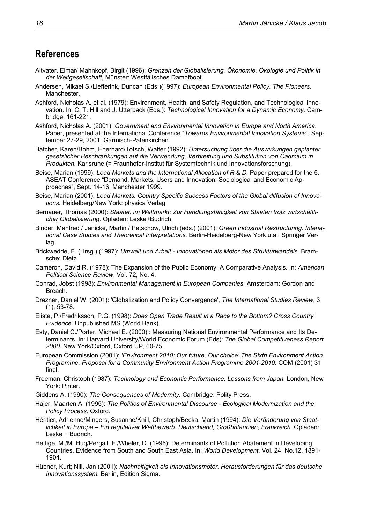# **References**

- Altvater, Elmar/ Mahnkopf, Birgit (1996): *Grenzen der Globalisierung. Ökonomie, Ökologie und Politik in der Weltgesellschaft*, Münster: Westfälisches Dampfboot.
- Andersen, Mikael S./Liefferink, Duncan (Eds.)(1997): *European Environmental Policy. The Pioneers.* Manchester.
- Ashford, Nicholas A. et al. (1979): Environment, Health, and Safety Regulation, and Technological Innovation. In: C. T. Hill and J. Utterback (Eds.): *Technological Innovation for a Dynamic Economy.* Cambridge, 161-221.
- Ashford, Nicholas A. (2001): *Government and Environmental Innovation in Europe and North America*. Paper, presented at the International Conference "*Towards Environmental Innovation Systems"*, September 27-29, 2001, Garmisch-Patenkirchen.
- Bätcher, Karen/Böhm, Eberhard/Tötsch, Walter (1992): *Untersuchung über die Auswirkungen geplanter gesetzlicher Beschränkungen auf die Verwendung, Verbreitung und Substitution von Cadmium in Produkten.* Karlsruhe (= Fraunhofer-Institut für Systemtechnik und Innovationsforschung).
- Beise, Marian (1999): *Lead Markets and the International Allocation of R & D.* Paper prepared for the 5. ASEAT Conference "Demand, Markets, Users and Innovation: Sociological and Economic Approaches", Sept. 14-16, Manchester 1999.
- Beise, Marian (2001): *Lead Markets. Country Specific Success Factors of the Global diffusion of Innovations.* Heidelberg/New York: physica Verlag.
- Bernauer, Thomas (2000): *Staaten im Weltmarkt: Zur Handlungsfähigkeit von Staaten trotz wirtschaftlicher Globalisierung.* Opladen: Leske+Budrich.
- Binder, Manfred / Jänicke, Martin / Petschow, Ulrich (eds.) (2001): *Green Industrial Restructuring. Intenational Case Studies and Theoretical Interpretations.* Berlin-Heidelberg-New York u.a.: Springer Verlag.
- Brickwedde, F. (Hrsg.) (1997): *Umwelt und Arbeit Innovationen als Motor des Strukturwandels.* Bramsche: Dietz.
- Cameron, David R. (1978): The Expansion of the Public Economy: A Comparative Analysis. In: *American Political Science Review*, Vol. 72, No. 4.
- Conrad, Jobst (1998): *Environmental Management in European Companies.* Amsterdam: Gordon and Breach.
- Drezner, Daniel W. (2001): 'Globalization and Policy Convergence', *The International Studies Review*, 3 (1), 53-78.
- Eliste, P./Fredriksson, P.G. (1998): *Does Open Trade Result in a Race to the Bottom? Cross Country Evidence.* Unpublished MS (World Bank).
- Esty, Daniel C./Porter, Michael E. (2000) : Measuring National Environmental Performance and Its Determinants. In: Harvard University/World Economic Forum (Eds): *The Global Competitiveness Report 2000.* New York/Oxford, Oxford UP, 60-75.
- European Commission (2001): *'Environment 2010: Our future, Our choice' The Sixth Environment Action Programme. Proposal for a Community Environment Action Programme 2001-2010.* COM (2001) 31 final.
- Freeman, Christoph (1987): *Technology and Economic Performance. Lessons from Japan.* London, New York: Pinter.
- Giddens A. (1990): *The Consequences of Modernity.* Cambridge: Polity Press.
- Hajer, Maarten A. (1995): *The Politics of Environmental Discourse Ecological Modernization and the Policy Process*. Oxford.
- Héritier, Adrienne/Mingers, Susanne/Knill, Christoph/Becka, Martin (1994): *Die Veränderung von Staatlichkeit in Europa – Ein regulativer Wettbewerb: Deutschland, Großbritannien, Frankreich.* Opladen: Leske + Budrich.
- Hettige, M./M. Huq/Pergall, F./Wheler, D. (1996): Determinants of Pollution Abatement in Developing Countries. Evidence from South and South East Asia. In: *World Development*, Vol. 24, No.12, 1891- 1904.
- Hübner, Kurt; Nill, Jan (2001): *Nachhaltigkeit als Innovationsmotor. Herausforderungen für das deutsche Innovationssystem.* Berlin, Edition Sigma.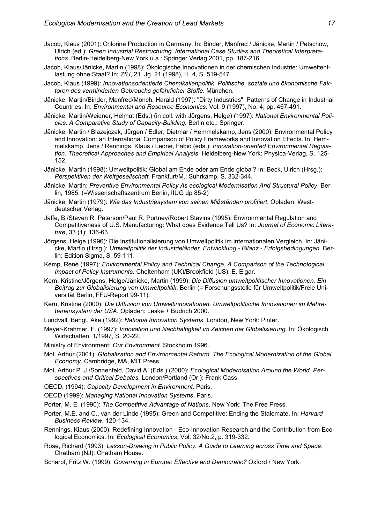- Jacob, Klaus (2001): Chlorine Production in Germany. In: Binder, Manfred / Jänicke, Martin / Petschow, Ulrich (ed.): *Green Industrial Restructuring. International Case Studies and Theoretical Interpretations*. Berlin-Heidelberg-New York u.a.: Springer Verlag 2001, pp. 187-216.
- Jacob, Klaus/Jänicke, Martin (1998): Ökologische Innovationen in der chemischen Industrie: Umweltentlastung ohne Staat? In: *ZfU*, 21. Jg. 21 (1998), H. 4, S. 519-547.
- Jacob, Klaus (1999): *Innovationsorientierte Chemikalienpolitik. Politische, soziale und ökonomische Faktoren des verminderten Gebrauchs gefährlicher Stoffe.* München.
- Jänicke, Martin/Binder, Manfred/Mönch, Harald (1997): "Dirty Industries": Patterns of Change in Industrial Countries. In: *Environmental and Resource Economics*. Vol. 9 (1997), No. 4, pp. 467-491.
- Jänicke, Martin/Weidner, Helmut (Eds.) (in coll. with Jörgens, Helge) (1997): *National Environmental Policies: A Comparative Study of Capacity-Building.* Berlin etc.: Springer.
- Jänicke, Martin / Blazejczak, Jürgen / Edler, Dietmar / Hemmelskamp, Jens (2000): Environmental Policy and Innovation: an International Comparison of Policy Frameworks and Innovation Effects. In: Hemmelskamp, Jens / Rennings, Klaus / Leone, Fabio (eds.): *Innovation-oriented Environmental Regulation. Theoretical Approaches and Empirical Analysis*. Heidelberg-New York: Physica-Verlag, S. 125- 152,
- Jänicke, Martin (1998): Umweltpolitik: Global am Ende oder am Ende global? In: Beck, Ulrich (Hrsg.): *Perspektiven der Weltgesellschaft*. Frankfurt/M.: Suhrkamp, S. 332-344.
- Jänicke, Martin: *Preventive Environmental Policy As ecological Modernisation And Structural Policy*. Berlin, 1985, (=Wissenschaftszentrum Berlin, IIUG dp 85-2)
- Jänicke, Martin (1979): *Wie das Industriesystem von seinen Mißständen profitiert*. Opladen: Westdeutscher Verlag.
- Jaffe, B./Steven R. Peterson/Paul R. Portney/Robert Stavins (1995): Environmental Regulation and Competitiveness of U.S. Manufacturing: What does Evidence Tell Us? In: *Journal of Economic Literature*, 33 (1): 136-63.
- Jörgens, Helge (1996): Die Institutionalisierung von Umweltpolitik im internationalen Vergleich. In: Jänicke, Martin (Hrsg.): *Umweltpolitik der Industrieländer. Entwicklung - Bilanz - Erfolgsbedingungen*. Berlin: Edition Sigma, S. 59-111.
- Kemp, René (1997): *Environmental Policy and Technical Change. A Comparison of the Technological Impact of Policy Instruments*. Cheltenham (UK)/Brookfield (US): E. Elgar.
- Kern, Kristine/Jörgens, Helge/Jänicke, Martin (1999): *Die Diffusion umweltpolitischer Innovationen. Ein Beitrag zur Globalisierung von Umweltpolitik*. Berlin (= Forschungsstelle für Umweltpolitik/Freie Universität Berlin, FFU-Report 99-11).
- Kern, Kristine (2000): *Die Diffusion von Umweltinnovationen. Umweltpolitische Innovationen im Mehrebenensystem der USA*. Opladen: Leske + Budrich 2000.
- Lundvall, Bengt, Ake (1992): *National Innovation Systems*. London, New York: Pinter.
- Meyer-Krahmer, F. (1997): *Innovation und Nachhaltigkeit im Zeichen der Globalisierung.* In: Ökologisch Wirtschaften. 1/1997, S. 20-22.
- Ministry of Environment: *Our Environment*. Stockholm 1996.
- Mol, Arthur (2001): *Globalization and Environmental Reform. The Ecological Modernization of the Global Economy*. Cambridge, MA, MIT Press.
- Mol, Arthur P. J./Sonnenfeld, David A. (Eds.) (2000): *Ecological Modernisation Around the World. Perspectives and Critical Debates.* London/Portland (Or.): Frank Cass.
- OECD, (1994): *Capacity Development in Environment*. Paris.
- OECD (1999): *Managing National Innovation Systems*. Paris.
- Porter, M. E. (1990): *The Competitive Advantage of Nations*. New York: The Free Press.
- Porter, M.E. and C., van der Linde (1995): Green and Competitive: Ending the Stalemate. In: *Harvard Business Review*, 120-134.
- Rennings, Klaus (2000): Redefining Innovation Eco-Innovation Research and the Contribution from Ecological Economics. In: *Ecological Economics*, Vol. 32/No.2, p. 319-332.
- Rose, Richard (1993): *Lesson-Drawing in Public Policy. A Guide to Learning across Time and Space*. Chatham (NJ): Chatham House.
- Scharpf, Fritz W. (1999): *Governing in Europe: Effective and Democratic?* Oxford / New York.